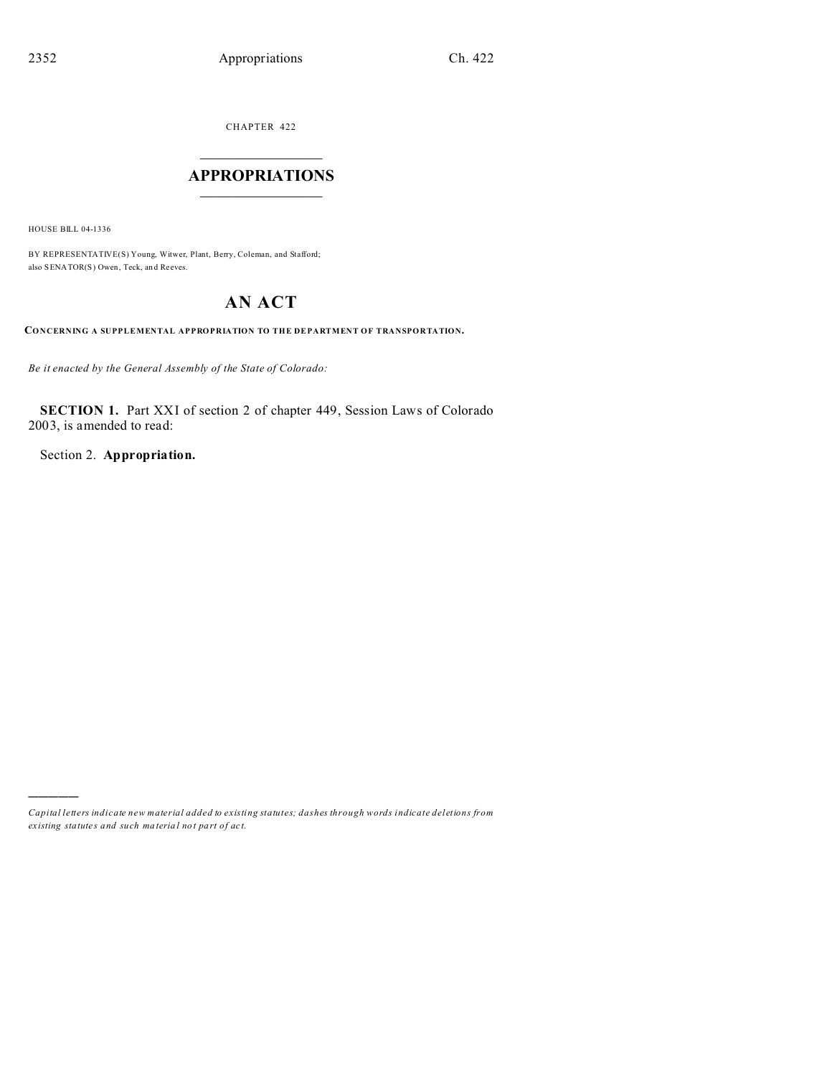CHAPTER 422  $\overline{\phantom{a}}$  , where  $\overline{\phantom{a}}$ 

### **APPROPRIATIONS**  $\_$   $\_$   $\_$   $\_$   $\_$   $\_$   $\_$   $\_$

HOUSE BILL 04-1336

)))))

BY REPRESENTATIVE(S) Young, Witwer, Plant, Berry, Coleman, and Stafford; also SENATOR(S) Owen, Teck, an d Reeves.

# **AN ACT**

**CONCERNING A SUPPLEMENTAL APPROPRIATION TO THE DEPARTMENT OF TRANSPORTATION.**

*Be it enacted by the General Assembly of the State of Colorado:*

**SECTION 1.** Part XXI of section 2 of chapter 449, Session Laws of Colorado 2003, is amended to read:

Section 2. **Appropriation.**

*Capital letters indicate new material added to existing statutes; dashes through words indicate deletions from ex isting statute s and such ma teria l no t pa rt of ac t.*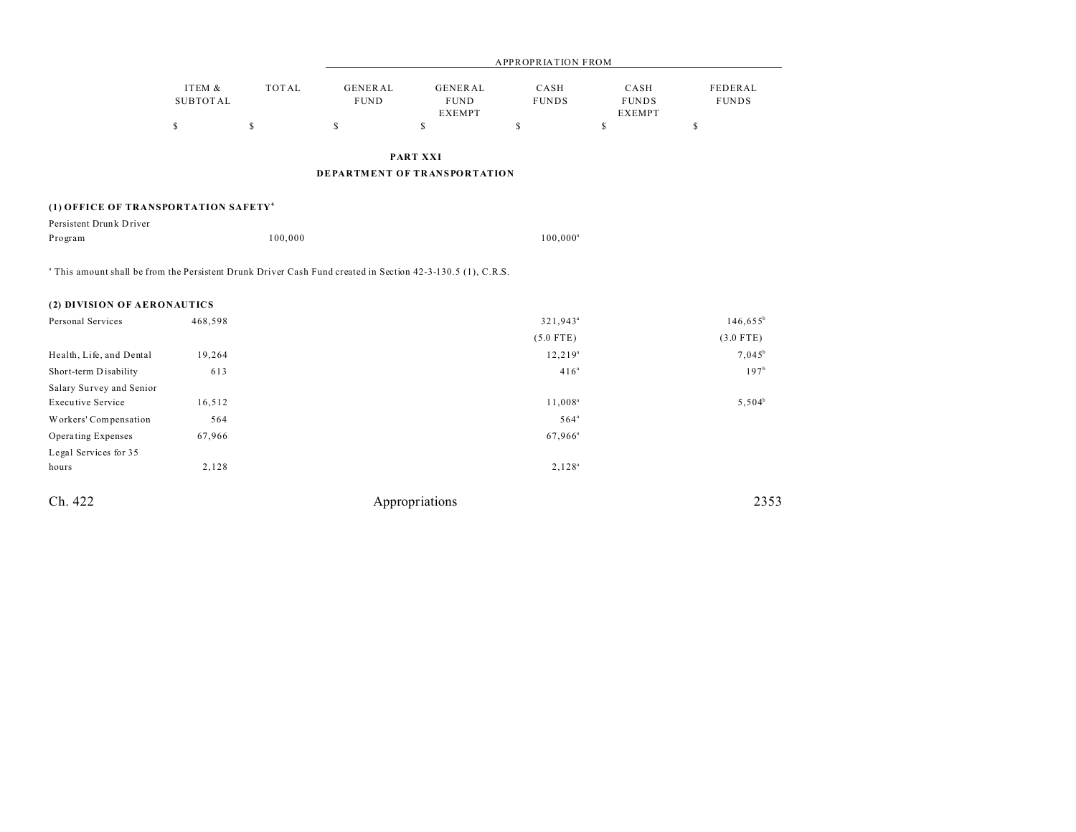|                                                                                                                        |                                          |                    | <b>APPROPRIATION FROM</b>           |                                                      |                                     |                                       |                                |
|------------------------------------------------------------------------------------------------------------------------|------------------------------------------|--------------------|-------------------------------------|------------------------------------------------------|-------------------------------------|---------------------------------------|--------------------------------|
|                                                                                                                        | ITEM &<br><b>SUBTOTAL</b><br>$\mathbb S$ | <b>TOTAL</b><br>\$ | <b>GENERAL</b><br><b>FUND</b><br>\$ | <b>GENERAL</b><br><b>FUND</b><br><b>EXEMPT</b><br>\$ | CASH<br><b>FUNDS</b><br>$\mathbb S$ | CASH<br><b>FUNDS</b><br><b>EXEMPT</b> | <b>FEDERAL</b><br><b>FUNDS</b> |
|                                                                                                                        |                                          |                    |                                     |                                                      |                                     | $\mathbb{S}$                          | \$                             |
|                                                                                                                        |                                          |                    |                                     | <b>PART XXI</b>                                      |                                     |                                       |                                |
|                                                                                                                        |                                          |                    |                                     | DEPARTMENT OF TRANSPORTATION                         |                                     |                                       |                                |
| (1) OFFICE OF TRANSPORTATION SAFETY <sup>4</sup>                                                                       |                                          |                    |                                     |                                                      |                                     |                                       |                                |
| Persistent Drunk Driver                                                                                                |                                          |                    |                                     |                                                      |                                     |                                       |                                |
| Program                                                                                                                |                                          | 100,000            |                                     |                                                      | $100,000^a$                         |                                       |                                |
| <sup>a</sup> This amount shall be from the Persistent Drunk Driver Cash Fund created in Section 42-3-130.5 (1), C.R.S. |                                          |                    |                                     |                                                      |                                     |                                       |                                |
| (2) DIVISION OF AERONAUTICS                                                                                            |                                          |                    |                                     |                                                      |                                     |                                       |                                |
| Personal Services                                                                                                      | 468,598                                  |                    |                                     |                                                      | $321,943^a$                         |                                       | $146,655^b$                    |
|                                                                                                                        |                                          |                    |                                     |                                                      | $(5.0$ FTE)                         |                                       | $(3.0$ FTE)                    |
| Health, Life, and Dental                                                                                               | 19,264                                   |                    |                                     |                                                      | $12,219^a$                          |                                       | $7,045^b$                      |
| Short-term Disability                                                                                                  | 613                                      |                    |                                     |                                                      | 416 <sup>a</sup>                    |                                       | 197 <sup>b</sup>               |
| Salary Survey and Senior                                                                                               |                                          |                    |                                     |                                                      |                                     |                                       |                                |
| <b>Executive Service</b>                                                                                               | 16,512                                   |                    |                                     |                                                      | $11,008^a$                          |                                       | $5,504^b$                      |
| Workers' Compensation                                                                                                  | 564                                      |                    |                                     |                                                      | $564$ <sup>a</sup>                  |                                       |                                |
| Operating Expenses                                                                                                     | 67,966                                   |                    |                                     |                                                      | $67,966^{\rm a}$                    |                                       |                                |
| Legal Services for 35                                                                                                  |                                          |                    |                                     |                                                      |                                     |                                       |                                |
| hours                                                                                                                  | 2,128                                    |                    |                                     |                                                      | $2,128^a$                           |                                       |                                |
|                                                                                                                        |                                          |                    |                                     |                                                      |                                     |                                       |                                |

Ch. 422 Appropriations 2353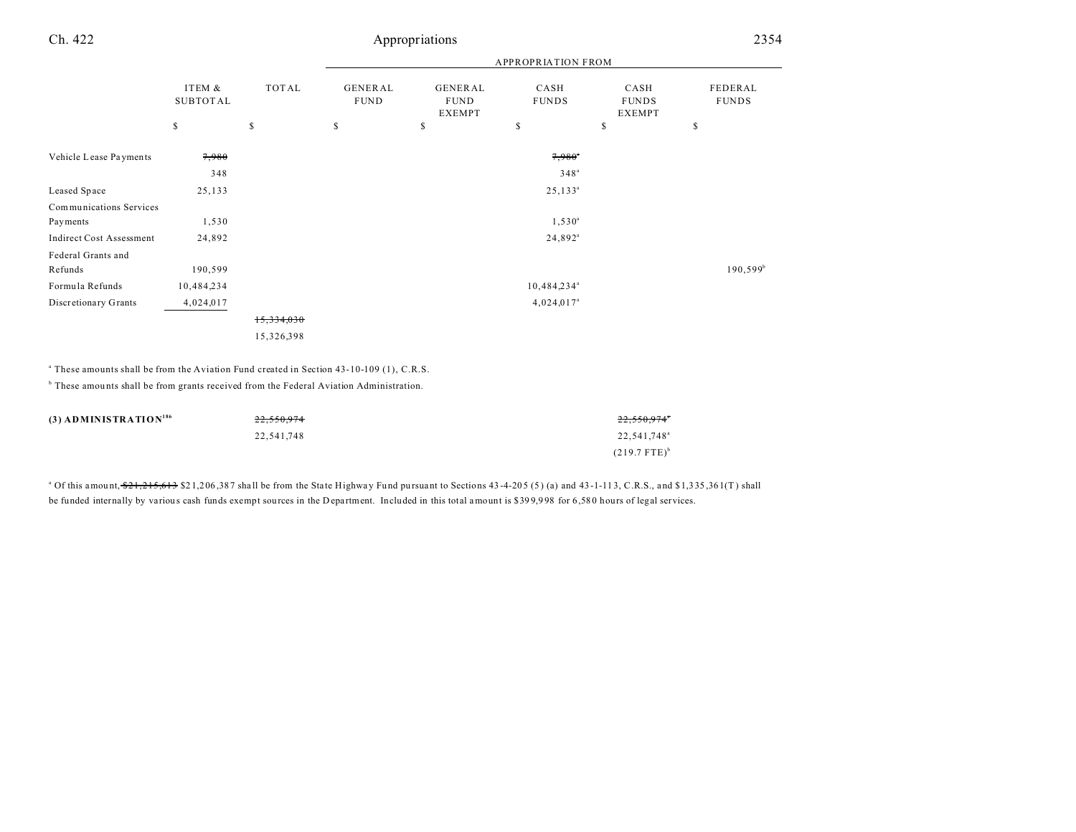## Ch. 422 Appropriations 2354

| CASH<br>FEDERAL<br><b>FUNDS</b><br><b>FUNDS</b><br><b>EXEMPT</b> |
|------------------------------------------------------------------|
| \$<br>\$                                                         |
|                                                                  |
|                                                                  |
|                                                                  |
|                                                                  |
|                                                                  |
|                                                                  |
|                                                                  |
| $190,599^{\circ}$                                                |
|                                                                  |
|                                                                  |
|                                                                  |
|                                                                  |
|                                                                  |

<sup>a</sup> These amounts shall be from the Aviation Fund created in Section 43-10-109 (1), C.R.S.

<sup>b</sup> These amounts shall be from grants received from the Federal Aviation Administration.

| $(3)$ ADMINISTRATION <sup>186</sup> | 22.550.974 | $22.550.974^{\circ}$       |
|-------------------------------------|------------|----------------------------|
|                                     | 22,541,748 | 22,541,748 <sup>a</sup>    |
|                                     |            | $(219.7$ FTE) <sup>b</sup> |

 $^{\circ}$  Of this amount,  $\frac{621}{215}$ ,  $\frac{613}{53}$   $\frac{821}{206}$ ,  $\frac{387}{518}$  shall be from the State Highway Fund pursuant to Sections 43-4-205 (5) (a) and 43-1-113, C.R.S., and \$1,335,361(T) shall be funded internally by various cash funds exempt sources in the Department. Included in this total amount is \$399,998 for 6,580 hours of legal services.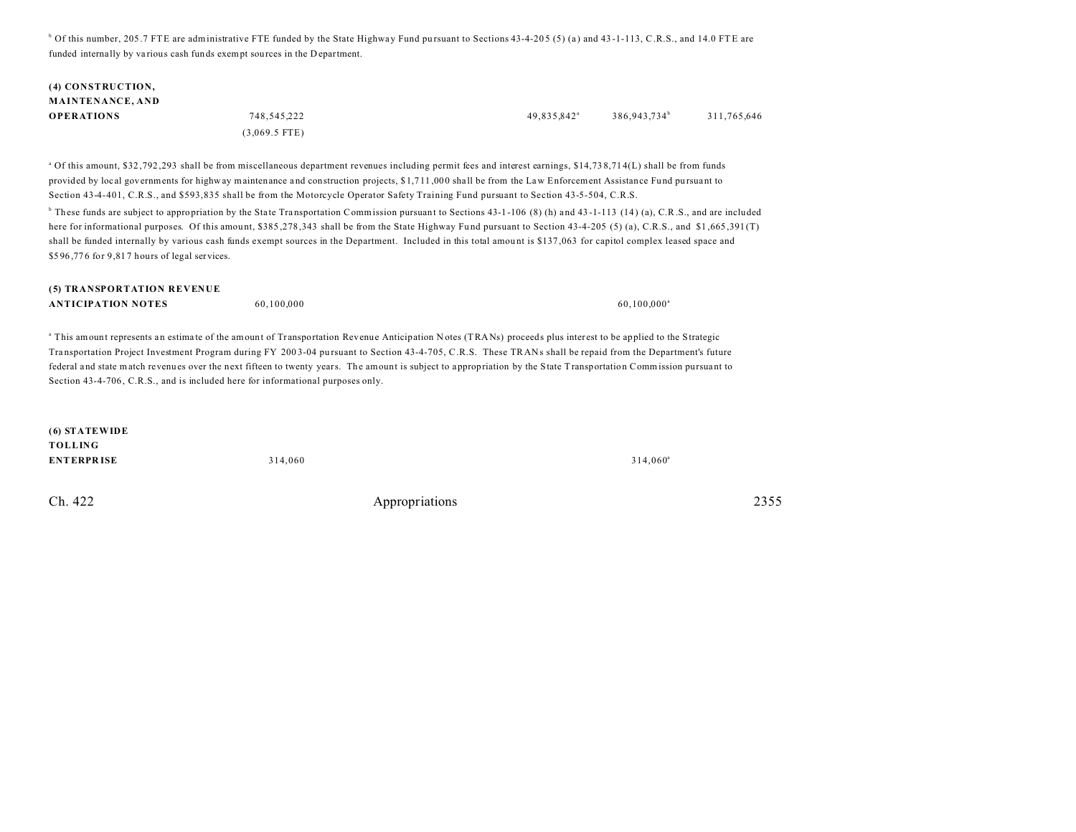$\degree$  Of this number, 205.7 FTE are administrative FTE funded by the State Highway Fund pursuant to Sections 43-4-205 (5) (a) and 43-1-113, C.R.S., and 14.0 FTE are funded interna lly by va rious cash funds exempt sources in the D epartment.

## **(4) CONSTRUCTION, MAINTENANCE, AND OPERATIONS** 748,545,222 49,835,842<sup>a</sup>

(3,069.5 FTE)

386,943,734<sup>b</sup> 311,765,646

<sup>a</sup> Of this amount, \$32,792,293 shall be from miscellaneous department revenues including permit fees and interest earnings, \$14,738,714(L) shall be from funds provided by local governments for highway maintenance and construction projects, \$1,711,000 shall be from the Law Enforcement Assistance Fund pursuant to Section 43-4-401, C.R.S., and \$593,835 shall be from the Motorcycle Operator Safety Training Fund pursuant to Section 43-5-504, C.R.S.

 $^6$  These funds are subject to appropriation by the State Transportation Commission pursuant to Sections 43-1-106 (8) (h) and 43-1-113 (14) (a), C.R.S., and are included here for informational purposes. Of this amount, \$385,278,343 shall be from the State Highway Fund pursuant to Section 43-4-205 (5) (a), C.R.S., and \$1,665,391 (T) shall be funded internally by various cash funds exempt sources in the Department. Included in this total amount is \$137,063 for capitol complex leased space and \$596,776 for 9,817 hours of legal services.

| (5) TRANSPORTATION REVENUE |            |                |
|----------------------------|------------|----------------|
| <b>ANTICIPATION NOTES</b>  | 60.100.000 | $60.100.000^s$ |

<sup>a</sup> This amount represents an estimate of the amount of Transportation Revenue Anticipation Notes (TRANs) proceeds plus interest to be applied to the Strategic Transportation Project Investment Program during FY 2003-04 pursuant to Section 43-4-705, C.R.S. These TRANs shall be repaid from the Department's future federal and state match revenues over the next fifteen to twenty years. The amount is subject to a ppropriation by the State Transportation Commission pursua nt to Section 43-4-706, C.R.S., and is included here for informational purposes only.

| (6) STATEWIDE     |         |                   |
|-------------------|---------|-------------------|
| <b>TOLLING</b>    |         |                   |
| <b>ENTERPRISE</b> | 314,060 | $314,060^{\circ}$ |

Ch. 422 Appropriations 2355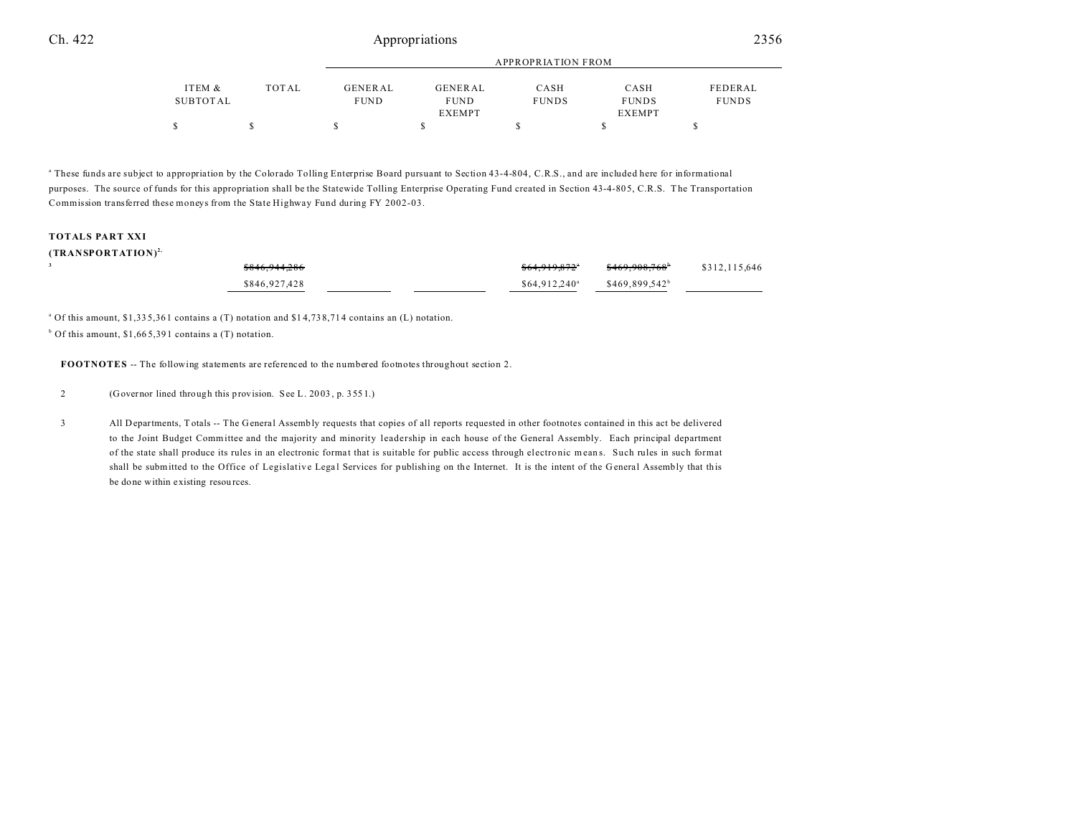|          |       | APPROPRIATION FROM |                |              |              |              |
|----------|-------|--------------------|----------------|--------------|--------------|--------------|
| ITEM &   | TOTAL | GENERAL            | <b>GENERAL</b> | CASH         | CASH         | FEDERAL      |
| SUBTOTAL |       | <b>FUND</b>        | <b>FUND</b>    | <b>FUNDS</b> | <b>FUNDS</b> | <b>FUNDS</b> |
|          |       |                    | EXEMPT         |              | EXEMPT       |              |
| S        |       |                    |                |              |              |              |

<sup>a</sup> These funds are subject to appropriation by the Colorado Tolling Enterprise Board pursuant to Section 43-4-804, C.R.S., and are included here for informational purposes. The source of funds for this appropriation shall be the Statewide Tolling Enterprise Operating Fund created in Section 43-4-805, C.R.S. The Transportation Commission transferred these moneys from the State Highway Fund during FY 2002-03.

#### **TOTALS PART XXI**

#### **(TRANSPORTATION)2,**

| \$846,944,286 | \$64.919.872"             | <del>\$469,908,768</del> * | \$312,115,646 |
|---------------|---------------------------|----------------------------|---------------|
| \$846,927,428 | \$64.912.240 <sup>a</sup> | \$469.899.542 <sup>b</sup> |               |

a Of this amount, \$1,33 5,36 1 contains a (T) notation and \$1 4,73 8,71 4 contains an (L) notation.

b Of this amount, \$1,66 5,39 1 contains a (T) notation.

**FOOTNOTES** -- The following statements are referenced to the numbered footnotes throughout section 2.

2 (Governor lined through this provision. See L. 20 03 , p. 355 1.)

3 All Departments, T otals -- The General Assembly requests that copies of all reports requested in other footnotes contained in this act be delivered to the Joint Budget Committee and the majority and minority leadership in each house of the General Assembly. Each principal department of the state shall produce its rules in an electronic forma t that is suitable for public access through electro nic m ean s. Such rules in such format shall be submitted to the Office of Legislative Legal Services for publishing on the Internet. It is the intent of the General Assembly that this be done within existing resources.